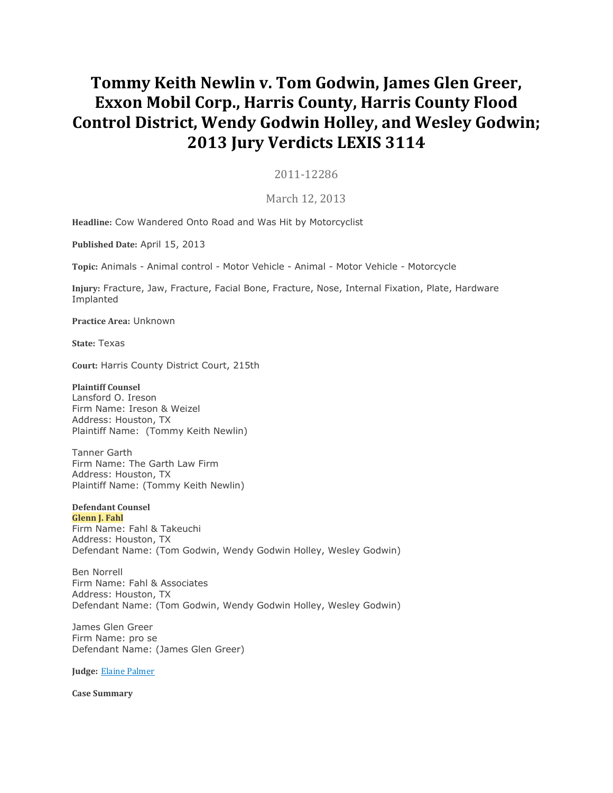# **Tommy Keith Newlin v. Tom Godwin, James Glen Greer, Exxon Mobil Corp., Harris County, Harris County Flood Control District, Wendy Godwin Holley, and Wesley Godwin; 2013 Jury Verdicts LEXIS 3114**

# 2011-12286

# March 12, 2013

**Headline:** Cow Wandered Onto Road and Was Hit by Motorcyclist

**Published Date:** April 15, 2013

**Topic:** Animals - Animal control - Motor Vehicle - Animal - Motor Vehicle - Motorcycle

**Injury:** Fracture, Jaw, Fracture, Facial Bone, Fracture, Nose, Internal Fixation, Plate, Hardware Implanted

**Practice Area:** Unknown

**State:** Texas

**Court:** Harris County District Court, 215th

## **Plaintiff Counsel**

Lansford O. Ireson Firm Name: Ireson & Weizel Address: Houston, TX Plaintiff Name: (Tommy Keith Newlin)

Tanner Garth Firm Name: The Garth Law Firm Address: Houston, TX Plaintiff Name: (Tommy Keith Newlin)

## **Defendant Counsel**

**Glenn J. Fahl** Firm Name: Fahl & Takeuchi Address: Houston, TX Defendant Name: (Tom Godwin, Wendy Godwin Holley, Wesley Godwin)

Ben Norrell Firm Name: Fahl & Associates Address: Houston, TX Defendant Name: (Tom Godwin, Wendy Godwin Holley, Wesley Godwin)

James Glen Greer Firm Name: pro se Defendant Name: (James Glen Greer)

**Judge:** Elaine [Palmer](https://advance.lexis.com/document/vsadocumentlever/?pdmfid=1000117&crid=80e7e26d-30fe-448e-b950-300b90ef9fbc&pddocfullpath=%2Fshared%2Fdocument%2Fjury-verdicts-settlements%2Furn%3AcontentItem%3A586D-YBJ0-01C2-60VS-00000-00&pdcomponentid=30345&ecomp=zdLk&earg=sr13&prid=8758c397-e833-47e9-b2e4-33eab1ec5273)

**Case Summary**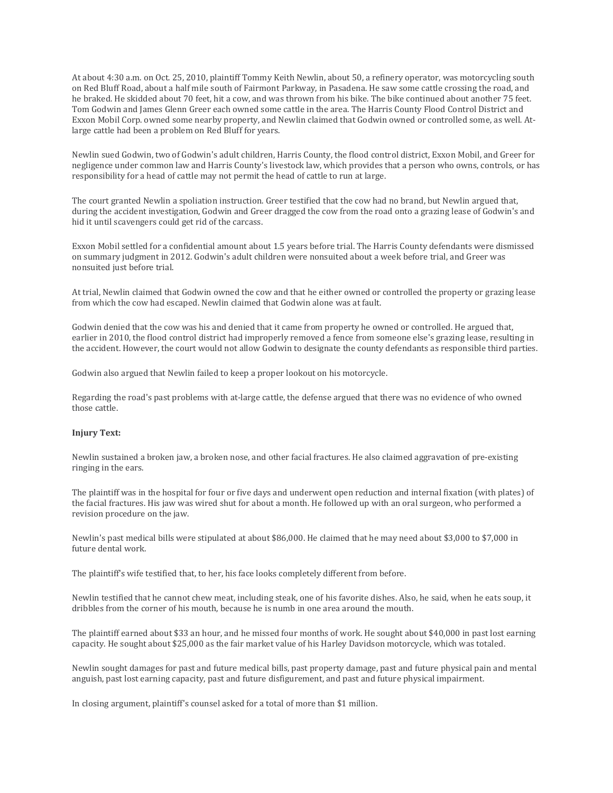At about 4:30 a.m. on Oct. 25, 2010, plaintiff Tommy Keith Newlin, about 50, a refinery operator, was motorcycling south on Red Bluff Road, about a half mile south of Fairmont Parkway, in Pasadena. He saw some cattle crossing the road, and he braked. He skidded about 70 feet, hit a cow, and was thrown from his bike. The bike continued about another 75 feet. Tom Godwin and James Glenn Greer each owned some cattle in the area. The Harris County Flood Control District and Exxon Mobil Corp. owned some nearby property, and Newlin claimed that Godwin owned or controlled some, as well. Atlarge cattle had been a problem on Red Bluff for years.

Newlin sued Godwin, two of Godwin's adult children, Harris County, the flood control district, Exxon Mobil, and Greer for negligence under common law and Harris County's livestock law, which provides that a person who owns, controls, or has responsibility for a head of cattle may not permit the head of cattle to run at large.

The court granted Newlin a spoliation instruction. Greer testified that the cow had no brand, but Newlin argued that, during the accident investigation, Godwin and Greer dragged the cow from the road onto a grazing lease of Godwin's and hid it until scavengers could get rid of the carcass.

Exxon Mobil settled for a confidential amount about 1.5 years before trial. The Harris County defendants were dismissed on summary judgment in 2012. Godwin's adult children were nonsuited about a week before trial, and Greer was nonsuited just before trial.

At trial, Newlin claimed that Godwin owned the cow and that he either owned or controlled the property or grazing lease from which the cow had escaped. Newlin claimed that Godwin alone was at fault.

Godwin denied that the cow was his and denied that it came from property he owned or controlled. He argued that, earlier in 2010, the flood control district had improperly removed a fence from someone else's grazing lease, resulting in the accident. However, the court would not allow Godwin to designate the county defendants as responsible third parties.

Godwin also argued that Newlin failed to keep a proper lookout on his motorcycle.

Regarding the road's past problems with at-large cattle, the defense argued that there was no evidence of who owned those cattle.

#### **Injury Text:**

Newlin sustained a broken jaw, a broken nose, and other facial fractures. He also claimed aggravation of pre-existing ringing in the ears.

The plaintiff was in the hospital for four or five days and underwent open reduction and internal fixation (with plates) of the facial fractures. His jaw was wired shut for about a month. He followed up with an oral surgeon, who performed a revision procedure on the jaw.

Newlin's past medical bills were stipulated at about \$86,000. He claimed that he may need about \$3,000 to \$7,000 in future dental work.

The plaintiff's wife testified that, to her, his face looks completely different from before.

Newlin testified that he cannot chew meat, including steak, one of his favorite dishes. Also, he said, when he eats soup, it dribbles from the corner of his mouth, because he is numb in one area around the mouth.

The plaintiff earned about \$33 an hour, and he missed four months of work. He sought about \$40,000 in past lost earning capacity. He sought about \$25,000 as the fair market value of his Harley Davidson motorcycle, which was totaled.

Newlin sought damages for past and future medical bills, past property damage, past and future physical pain and mental anguish, past lost earning capacity, past and future disfigurement, and past and future physical impairment.

In closing argument, plaintiff's counsel asked for a total of more than \$1 million.